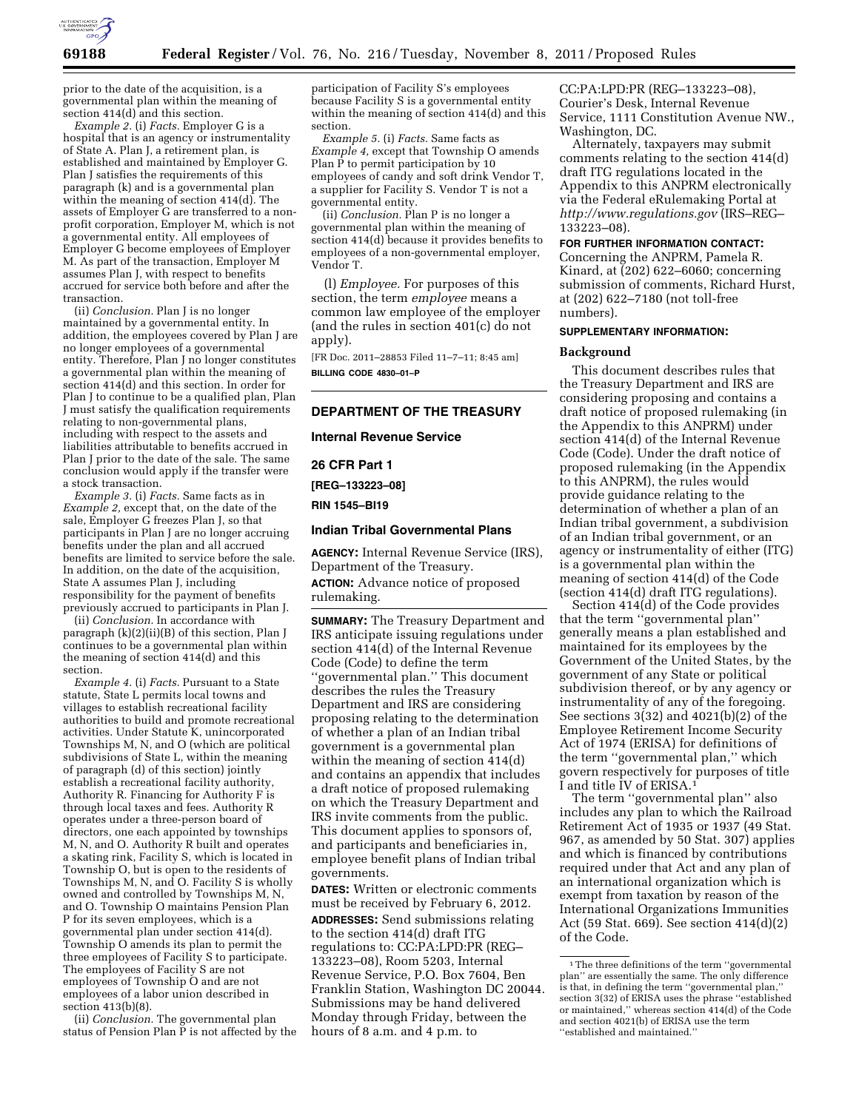

prior to the date of the acquisition, is a governmental plan within the meaning of section 414(d) and this section.

*Example 2.* (i) *Facts.* Employer G is a hospital that is an agency or instrumentality of State A. Plan J, a retirement plan, is established and maintained by Employer G. Plan J satisfies the requirements of this paragraph (k) and is a governmental plan within the meaning of section 414(d). The assets of Employer G are transferred to a nonprofit corporation, Employer M, which is not a governmental entity. All employees of Employer G become employees of Employer M. As part of the transaction, Employer M assumes Plan J, with respect to benefits accrued for service both before and after the transaction.

(ii) *Conclusion.* Plan J is no longer maintained by a governmental entity. In addition, the employees covered by Plan J are no longer employees of a governmental entity. Therefore, Plan J no longer constitutes a governmental plan within the meaning of section 414(d) and this section. In order for Plan J to continue to be a qualified plan, Plan J must satisfy the qualification requirements relating to non-governmental plans, including with respect to the assets and liabilities attributable to benefits accrued in Plan J prior to the date of the sale. The same conclusion would apply if the transfer were a stock transaction.

*Example 3.* (i) *Facts.* Same facts as in *Example 2,* except that, on the date of the sale, Employer G freezes Plan J, so that participants in Plan J are no longer accruing benefits under the plan and all accrued benefits are limited to service before the sale. In addition, on the date of the acquisition, State A assumes Plan J, including responsibility for the payment of benefits previously accrued to participants in Plan J.

(ii) *Conclusion.* In accordance with paragraph (k)(2)(ii)(B) of this section, Plan J continues to be a governmental plan within the meaning of section 414(d) and this section.

*Example 4.* (i) *Facts.* Pursuant to a State statute, State L permits local towns and villages to establish recreational facility authorities to build and promote recreational activities. Under Statute K, unincorporated Townships M, N, and O (which are political subdivisions of State L, within the meaning of paragraph (d) of this section) jointly establish a recreational facility authority, Authority R. Financing for Authority F is through local taxes and fees. Authority R operates under a three-person board of directors, one each appointed by townships M, N, and O. Authority R built and operates a skating rink, Facility S, which is located in Township O, but is open to the residents of Townships M, N, and O. Facility S is wholly owned and controlled by Townships M, N, and O. Township O maintains Pension Plan P for its seven employees, which is a governmental plan under section 414(d). Township O amends its plan to permit the three employees of Facility S to participate. The employees of Facility S are not employees of Township O and are not employees of a labor union described in section 413(b)(8).

(ii) *Conclusion.* The governmental plan status of Pension Plan P is not affected by the participation of Facility S's employees because Facility S is a governmental entity within the meaning of section 414(d) and this section.

*Example 5.* (i) *Facts.* Same facts as *Example 4,* except that Township O amends Plan P to permit participation by 10 employees of candy and soft drink Vendor T, a supplier for Facility S. Vendor T is not a governmental entity.

(ii) *Conclusion.* Plan P is no longer a governmental plan within the meaning of section 414(d) because it provides benefits to employees of a non-governmental employer, Vendor T.

(l) *Employee.* For purposes of this section, the term *employee* means a common law employee of the employer (and the rules in section 401(c) do not apply).

[FR Doc. 2011–28853 Filed 11–7–11; 8:45 am] **BILLING CODE 4830–01–P** 

# **DEPARTMENT OF THE TREASURY**

**Internal Revenue Service** 

**26 CFR Part 1** 

**[REG–133223–08]** 

**RIN 1545–BI19** 

# **Indian Tribal Governmental Plans**

**AGENCY:** Internal Revenue Service (IRS), Department of the Treasury. **ACTION:** Advance notice of proposed rulemaking.

**SUMMARY:** The Treasury Department and IRS anticipate issuing regulations under section 414(d) of the Internal Revenue Code (Code) to define the term ''governmental plan.'' This document describes the rules the Treasury Department and IRS are considering proposing relating to the determination of whether a plan of an Indian tribal government is a governmental plan within the meaning of section 414(d) and contains an appendix that includes a draft notice of proposed rulemaking on which the Treasury Department and IRS invite comments from the public. This document applies to sponsors of, and participants and beneficiaries in, employee benefit plans of Indian tribal governments.

**DATES:** Written or electronic comments must be received by February 6, 2012.

**ADDRESSES:** Send submissions relating to the section 414(d) draft ITG regulations to: CC:PA:LPD:PR (REG– 133223–08), Room 5203, Internal Revenue Service, P.O. Box 7604, Ben Franklin Station, Washington DC 20044. Submissions may be hand delivered Monday through Friday, between the hours of 8 a.m. and 4 p.m. to

CC:PA:LPD:PR (REG–133223–08), Courier's Desk, Internal Revenue Service, 1111 Constitution Avenue NW., Washington, DC.

Alternately, taxpayers may submit comments relating to the section 414(d) draft ITG regulations located in the Appendix to this ANPRM electronically via the Federal eRulemaking Portal at *<http://www.regulations.gov>* (IRS–REG– 133223–08).

#### **FOR FURTHER INFORMATION CONTACT:**

Concerning the ANPRM, Pamela R. Kinard, at (202) 622–6060; concerning submission of comments, Richard Hurst, at (202) 622–7180 (not toll-free numbers).

#### **SUPPLEMENTARY INFORMATION:**

#### **Background**

This document describes rules that the Treasury Department and IRS are considering proposing and contains a draft notice of proposed rulemaking (in the Appendix to this ANPRM) under section 414(d) of the Internal Revenue Code (Code). Under the draft notice of proposed rulemaking (in the Appendix to this ANPRM), the rules would provide guidance relating to the determination of whether a plan of an Indian tribal government, a subdivision of an Indian tribal government, or an agency or instrumentality of either (ITG) is a governmental plan within the meaning of section 414(d) of the Code (section 414(d) draft ITG regulations).

Section 414(d) of the Code provides that the term ''governmental plan'' generally means a plan established and maintained for its employees by the Government of the United States, by the government of any State or political subdivision thereof, or by any agency or instrumentality of any of the foregoing. See sections 3(32) and 4021(b)(2) of the Employee Retirement Income Security Act of 1974 (ERISA) for definitions of the term ''governmental plan,'' which govern respectively for purposes of title I and title IV of ERISA.<sup>1</sup>

The term ''governmental plan'' also includes any plan to which the Railroad Retirement Act of 1935 or 1937 (49 Stat. 967, as amended by 50 Stat. 307) applies and which is financed by contributions required under that Act and any plan of an international organization which is exempt from taxation by reason of the International Organizations Immunities Act (59 Stat. 669). See section 414(d)(2) of the Code.

<sup>&</sup>lt;sup>1</sup>The three definitions of the term "governmental plan'' are essentially the same. The only difference is that, in defining the term ''governmental plan,'' section 3(32) of ERISA uses the phrase ''established or maintained,'' whereas section 414(d) of the Code and section 4021(b) of ERISA use the term ''established and maintained.''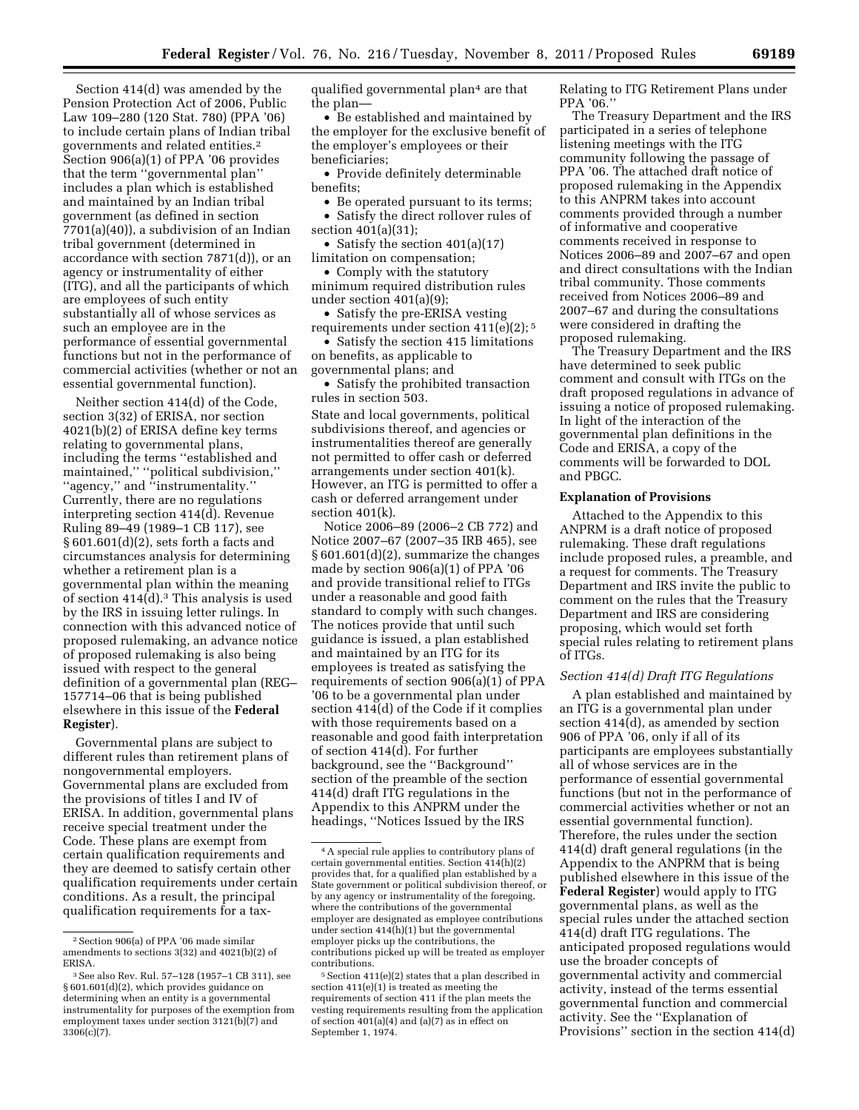Section 414(d) was amended by the Pension Protection Act of 2006, Public Law 109–280 (120 Stat. 780) (PPA '06) to include certain plans of Indian tribal governments and related entities.2 Section 906(a)(1) of PPA '06 provides that the term ''governmental plan'' includes a plan which is established and maintained by an Indian tribal government (as defined in section 7701(a)(40)), a subdivision of an Indian tribal government (determined in accordance with section 7871(d)), or an agency or instrumentality of either (ITG), and all the participants of which are employees of such entity substantially all of whose services as such an employee are in the performance of essential governmental functions but not in the performance of commercial activities (whether or not an essential governmental function).

Neither section 414(d) of the Code, section 3(32) of ERISA, nor section 4021(b)(2) of ERISA define key terms relating to governmental plans, including the terms ''established and maintained,'' ''political subdivision,'' ''agency,'' and ''instrumentality.'' Currently, there are no regulations interpreting section 414(d). Revenue Ruling 89–49 (1989–1 CB 117), see § 601.601(d)(2), sets forth a facts and circumstances analysis for determining whether a retirement plan is a governmental plan within the meaning of section  $414(d).$ <sup>3</sup> This analysis is used by the IRS in issuing letter rulings. In connection with this advanced notice of proposed rulemaking, an advance notice of proposed rulemaking is also being issued with respect to the general definition of a governmental plan (REG– 157714–06 that is being published elsewhere in this issue of the **Federal Register**).

Governmental plans are subject to different rules than retirement plans of nongovernmental employers. Governmental plans are excluded from the provisions of titles I and IV of ERISA. In addition, governmental plans receive special treatment under the Code. These plans are exempt from certain qualification requirements and they are deemed to satisfy certain other qualification requirements under certain conditions. As a result, the principal qualification requirements for a taxqualified governmental plan4 are that the plan—

• Be established and maintained by the employer for the exclusive benefit of the employer's employees or their beneficiaries;

• Provide definitely determinable benefits;

• Be operated pursuant to its terms; • Satisfy the direct rollover rules of section 401(a)(31);

• Satisfy the section 401(a)(17) limitation on compensation;

• Comply with the statutory minimum required distribution rules under section 401(a)(9);

• Satisfy the pre-ERISA vesting requirements under section 411(e)(2); 5

• Satisfy the section 415 limitations on benefits, as applicable to governmental plans; and

• Satisfy the prohibited transaction rules in section 503. State and local governments, political subdivisions thereof, and agencies or instrumentalities thereof are generally not permitted to offer cash or deferred arrangements under section 401(k). However, an ITG is permitted to offer a

cash or deferred arrangement under

section 401(k). Notice 2006–89 (2006–2 CB 772) and Notice 2007–67 (2007–35 IRB 465), see § 601.601(d)(2), summarize the changes made by section 906(a)(1) of PPA '06 and provide transitional relief to ITGs under a reasonable and good faith standard to comply with such changes. The notices provide that until such guidance is issued, a plan established and maintained by an ITG for its employees is treated as satisfying the requirements of section 906(a)(1) of PPA '06 to be a governmental plan under section 414(d) of the Code if it complies with those requirements based on a reasonable and good faith interpretation of section 414(d). For further background, see the ''Background'' section of the preamble of the section 414(d) draft ITG regulations in the Appendix to this ANPRM under the headings, ''Notices Issued by the IRS

Relating to ITG Retirement Plans under PPA '06.'

The Treasury Department and the IRS participated in a series of telephone listening meetings with the ITG community following the passage of PPA '06. The attached draft notice of proposed rulemaking in the Appendix to this ANPRM takes into account comments provided through a number of informative and cooperative comments received in response to Notices 2006–89 and 2007–67 and open and direct consultations with the Indian tribal community. Those comments received from Notices 2006–89 and 2007–67 and during the consultations were considered in drafting the proposed rulemaking.

The Treasury Department and the IRS have determined to seek public comment and consult with ITGs on the draft proposed regulations in advance of issuing a notice of proposed rulemaking. In light of the interaction of the governmental plan definitions in the Code and ERISA, a copy of the comments will be forwarded to DOL and PBGC.

#### **Explanation of Provisions**

Attached to the Appendix to this ANPRM is a draft notice of proposed rulemaking. These draft regulations include proposed rules, a preamble, and a request for comments. The Treasury Department and IRS invite the public to comment on the rules that the Treasury Department and IRS are considering proposing, which would set forth special rules relating to retirement plans of ITGs.

#### *Section 414(d) Draft ITG Regulations*

A plan established and maintained by an ITG is a governmental plan under section 414(d), as amended by section 906 of PPA '06, only if all of its participants are employees substantially all of whose services are in the performance of essential governmental functions (but not in the performance of commercial activities whether or not an essential governmental function). Therefore, the rules under the section 414(d) draft general regulations (in the Appendix to the ANPRM that is being published elsewhere in this issue of the **Federal Register**) would apply to ITG governmental plans, as well as the special rules under the attached section 414(d) draft ITG regulations. The anticipated proposed regulations would use the broader concepts of governmental activity and commercial activity, instead of the terms essential governmental function and commercial activity. See the ''Explanation of Provisions'' section in the section 414(d)

<sup>2</sup>Section 906(a) of PPA '06 made similar amendments to sections 3(32) and 4021(b)(2) of ERISA.

<sup>3</sup>See also Rev. Rul. 57–128 (1957–1 CB 311), see § 601.601(d)(2), which provides guidance on determining when an entity is a governmental instrumentality for purposes of the exemption from employment taxes under section 3121(b)(7) and 3306(c)(7).

<sup>4</sup>A special rule applies to contributory plans of certain governmental entities. Section 414(h)(2) provides that, for a qualified plan established by a State government or political subdivision thereof, or by any agency or instrumentality of the foregoing, where the contributions of the governmental employer are designated as employee contributions under section 414(h)(1) but the governmental employer picks up the contributions, the contributions picked up will be treated as employer contributions.

<sup>5</sup>Section 411(e)(2) states that a plan described in section 411(e)(1) is treated as meeting the requirements of section 411 if the plan meets the vesting requirements resulting from the application of section 401(a)(4) and (a)(7) as in effect on September 1, 1974.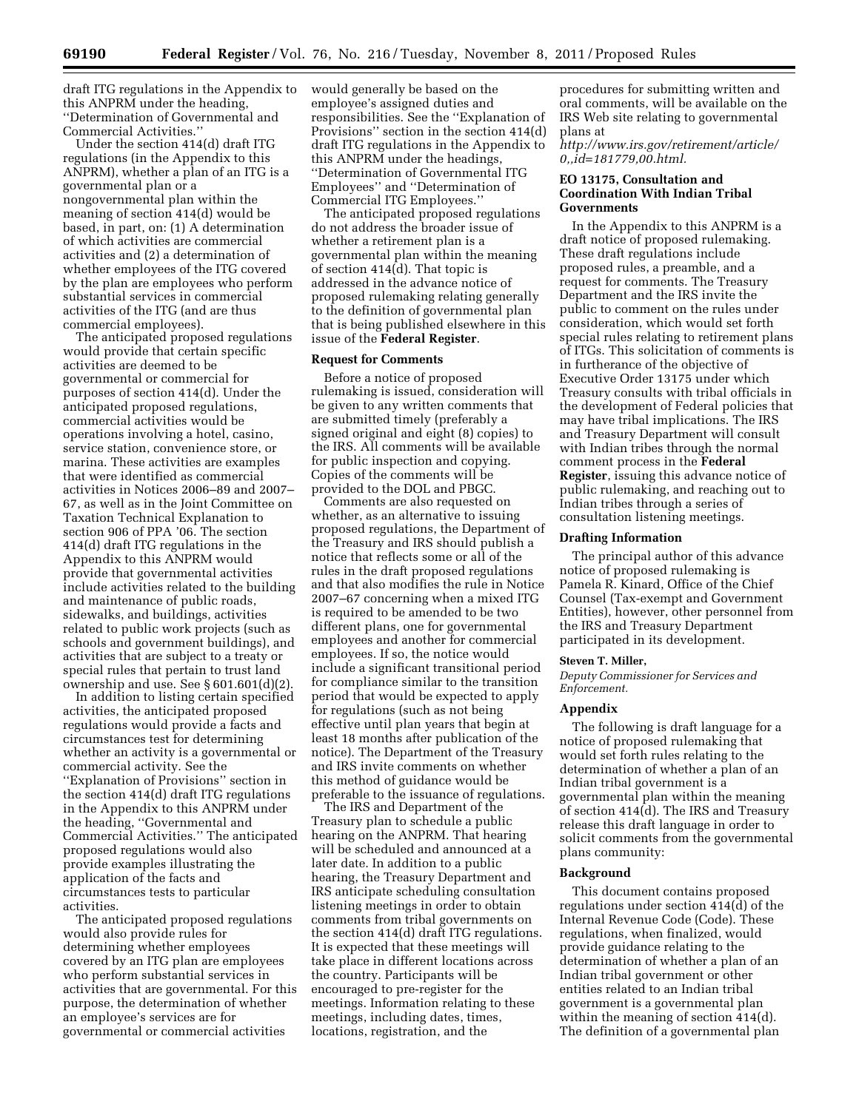draft ITG regulations in the Appendix to this ANPRM under the heading, ''Determination of Governmental and Commercial Activities.''

Under the section 414(d) draft ITG regulations (in the Appendix to this ANPRM), whether a plan of an ITG is a governmental plan or a nongovernmental plan within the meaning of section 414(d) would be based, in part, on: (1) A determination of which activities are commercial activities and (2) a determination of whether employees of the ITG covered by the plan are employees who perform substantial services in commercial activities of the ITG (and are thus commercial employees).

The anticipated proposed regulations would provide that certain specific activities are deemed to be governmental or commercial for purposes of section 414(d). Under the anticipated proposed regulations, commercial activities would be operations involving a hotel, casino, service station, convenience store, or marina. These activities are examples that were identified as commercial activities in Notices 2006–89 and 2007– 67, as well as in the Joint Committee on Taxation Technical Explanation to section 906 of PPA '06. The section 414(d) draft ITG regulations in the Appendix to this ANPRM would provide that governmental activities include activities related to the building and maintenance of public roads, sidewalks, and buildings, activities related to public work projects (such as schools and government buildings), and activities that are subject to a treaty or special rules that pertain to trust land ownership and use. See § 601.601(d)(2).

In addition to listing certain specified activities, the anticipated proposed regulations would provide a facts and circumstances test for determining whether an activity is a governmental or commercial activity. See the ''Explanation of Provisions'' section in the section 414(d) draft ITG regulations in the Appendix to this ANPRM under the heading, ''Governmental and Commercial Activities.'' The anticipated proposed regulations would also provide examples illustrating the application of the facts and circumstances tests to particular activities.

The anticipated proposed regulations would also provide rules for determining whether employees covered by an ITG plan are employees who perform substantial services in activities that are governmental. For this purpose, the determination of whether an employee's services are for governmental or commercial activities

would generally be based on the employee's assigned duties and responsibilities. See the ''Explanation of Provisions'' section in the section 414(d) draft ITG regulations in the Appendix to this ANPRM under the headings, ''Determination of Governmental ITG Employees'' and ''Determination of Commercial ITG Employees.''

The anticipated proposed regulations do not address the broader issue of whether a retirement plan is a governmental plan within the meaning of section 414(d). That topic is addressed in the advance notice of proposed rulemaking relating generally to the definition of governmental plan that is being published elsewhere in this issue of the **Federal Register**.

# **Request for Comments**

Before a notice of proposed rulemaking is issued, consideration will be given to any written comments that are submitted timely (preferably a signed original and eight (8) copies) to the IRS. All comments will be available for public inspection and copying. Copies of the comments will be provided to the DOL and PBGC.

Comments are also requested on whether, as an alternative to issuing proposed regulations, the Department of the Treasury and IRS should publish a notice that reflects some or all of the rules in the draft proposed regulations and that also modifies the rule in Notice 2007–67 concerning when a mixed ITG is required to be amended to be two different plans, one for governmental employees and another for commercial employees. If so, the notice would include a significant transitional period for compliance similar to the transition period that would be expected to apply for regulations (such as not being effective until plan years that begin at least 18 months after publication of the notice). The Department of the Treasury and IRS invite comments on whether this method of guidance would be preferable to the issuance of regulations.

The IRS and Department of the Treasury plan to schedule a public hearing on the ANPRM. That hearing will be scheduled and announced at a later date. In addition to a public hearing, the Treasury Department and IRS anticipate scheduling consultation listening meetings in order to obtain comments from tribal governments on the section 414(d) draft ITG regulations. It is expected that these meetings will take place in different locations across the country. Participants will be encouraged to pre-register for the meetings. Information relating to these meetings, including dates, times, locations, registration, and the

procedures for submitting written and oral comments, will be available on the IRS Web site relating to governmental plans at

*[http://www.irs.gov/retirement/article/](http://www.irs.gov/retirement/article/0,,id=181779,00.html)  [0,,id=181779,00.html.](http://www.irs.gov/retirement/article/0,,id=181779,00.html)* 

# **EO 13175, Consultation and Coordination With Indian Tribal Governments**

In the Appendix to this ANPRM is a draft notice of proposed rulemaking. These draft regulations include proposed rules, a preamble, and a request for comments. The Treasury Department and the IRS invite the public to comment on the rules under consideration, which would set forth special rules relating to retirement plans of ITGs. This solicitation of comments is in furtherance of the objective of Executive Order 13175 under which Treasury consults with tribal officials in the development of Federal policies that may have tribal implications. The IRS and Treasury Department will consult with Indian tribes through the normal comment process in the **Federal Register**, issuing this advance notice of public rulemaking, and reaching out to Indian tribes through a series of consultation listening meetings.

#### **Drafting Information**

The principal author of this advance notice of proposed rulemaking is Pamela R. Kinard, Office of the Chief Counsel (Tax-exempt and Government Entities), however, other personnel from the IRS and Treasury Department participated in its development.

# **Steven T. Miller,**

*Deputy Commissioner for Services and Enforcement.* 

#### **Appendix**

The following is draft language for a notice of proposed rulemaking that would set forth rules relating to the determination of whether a plan of an Indian tribal government is a governmental plan within the meaning of section 414(d). The IRS and Treasury release this draft language in order to solicit comments from the governmental plans community:

#### **Background**

This document contains proposed regulations under section 414(d) of the Internal Revenue Code (Code). These regulations, when finalized, would provide guidance relating to the determination of whether a plan of an Indian tribal government or other entities related to an Indian tribal government is a governmental plan within the meaning of section 414(d). The definition of a governmental plan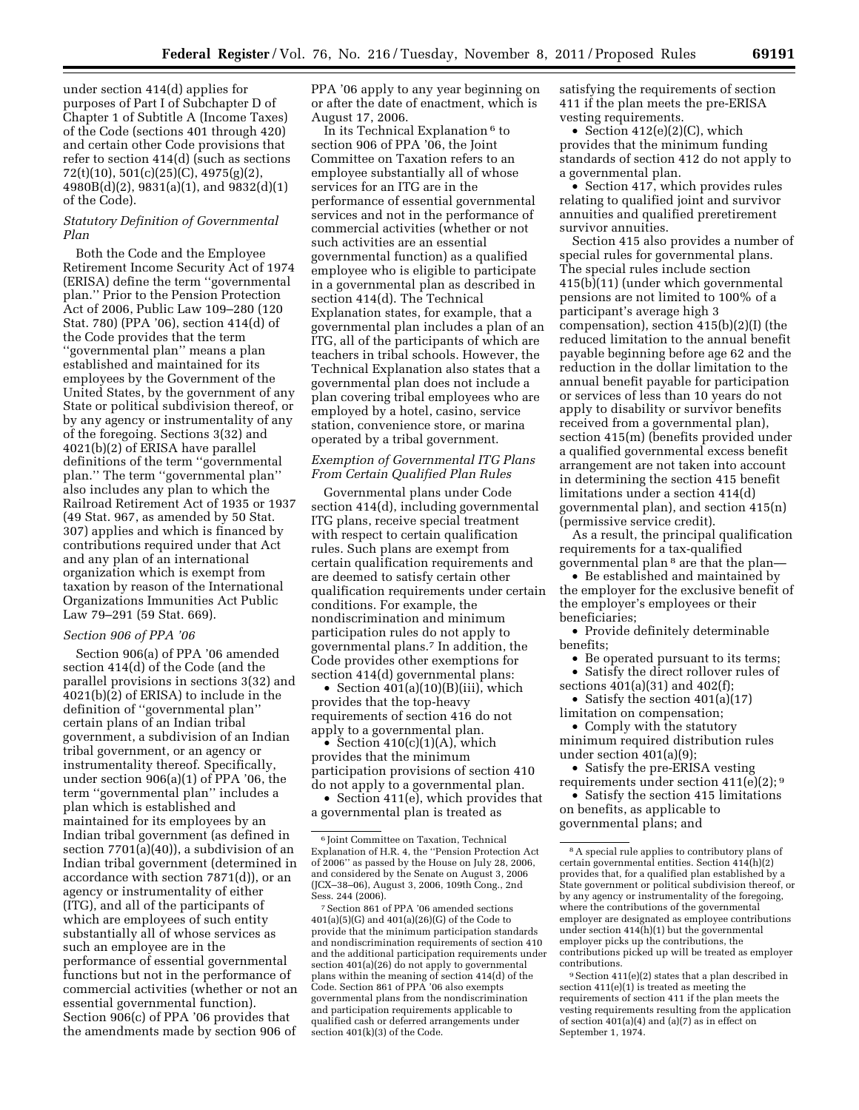under section 414(d) applies for purposes of Part I of Subchapter D of Chapter 1 of Subtitle A (Income Taxes) of the Code (sections 401 through 420) and certain other Code provisions that refer to section 414(d) (such as sections 72(t)(10), 501(c)(25)(C), 4975(g)(2), 4980B(d)(2), 9831(a)(1), and 9832(d)(1) of the Code).

# *Statutory Definition of Governmental Plan*

Both the Code and the Employee Retirement Income Security Act of 1974 (ERISA) define the term ''governmental plan.'' Prior to the Pension Protection Act of 2006, Public Law 109–280 (120 Stat. 780) (PPA '06), section 414(d) of the Code provides that the term ''governmental plan'' means a plan established and maintained for its employees by the Government of the United States, by the government of any State or political subdivision thereof, or by any agency or instrumentality of any of the foregoing. Sections 3(32) and 4021(b)(2) of ERISA have parallel definitions of the term ''governmental plan.'' The term ''governmental plan'' also includes any plan to which the Railroad Retirement Act of 1935 or 1937 (49 Stat. 967, as amended by 50 Stat. 307) applies and which is financed by contributions required under that Act and any plan of an international organization which is exempt from taxation by reason of the International Organizations Immunities Act Public Law 79–291 (59 Stat. 669).

#### *Section 906 of PPA '06*

Section 906(a) of PPA '06 amended section 414(d) of the Code (and the parallel provisions in sections 3(32) and 4021(b)(2) of ERISA) to include in the definition of ''governmental plan'' certain plans of an Indian tribal government, a subdivision of an Indian tribal government, or an agency or instrumentality thereof. Specifically, under section 906(a)(1) of PPA '06, the term ''governmental plan'' includes a plan which is established and maintained for its employees by an Indian tribal government (as defined in section 7701(a)(40)), a subdivision of an Indian tribal government (determined in accordance with section 7871(d)), or an agency or instrumentality of either (ITG), and all of the participants of which are employees of such entity substantially all of whose services as such an employee are in the performance of essential governmental functions but not in the performance of commercial activities (whether or not an essential governmental function). Section 906(c) of PPA '06 provides that the amendments made by section 906 of

PPA '06 apply to any year beginning on or after the date of enactment, which is August 17, 2006.

In its Technical Explanation  $^6$  to section 906 of PPA '06, the Joint Committee on Taxation refers to an employee substantially all of whose services for an ITG are in the performance of essential governmental services and not in the performance of commercial activities (whether or not such activities are an essential governmental function) as a qualified employee who is eligible to participate in a governmental plan as described in section 414(d). The Technical Explanation states, for example, that a governmental plan includes a plan of an ITG, all of the participants of which are teachers in tribal schools. However, the Technical Explanation also states that a governmental plan does not include a plan covering tribal employees who are employed by a hotel, casino, service station, convenience store, or marina operated by a tribal government.

# *Exemption of Governmental ITG Plans From Certain Qualified Plan Rules*

Governmental plans under Code section 414(d), including governmental ITG plans, receive special treatment with respect to certain qualification rules. Such plans are exempt from certain qualification requirements and are deemed to satisfy certain other qualification requirements under certain conditions. For example, the nondiscrimination and minimum participation rules do not apply to governmental plans.7 In addition, the Code provides other exemptions for section 414(d) governmental plans:

• Section 401(a)(10)(B)(iii), which provides that the top-heavy requirements of section 416 do not apply to a governmental plan.

• Section  $410(c)(1)(A)$ , which provides that the minimum participation provisions of section 410 do not apply to a governmental plan.

• Section 411(e), which provides that a governmental plan is treated as

satisfying the requirements of section 411 if the plan meets the pre-ERISA vesting requirements.

• Section 412(e)(2)(C), which provides that the minimum funding standards of section 412 do not apply to a governmental plan.

• Section 417, which provides rules relating to qualified joint and survivor annuities and qualified preretirement survivor annuities.

Section 415 also provides a number of special rules for governmental plans. The special rules include section 415(b)(11) (under which governmental pensions are not limited to 100% of a participant's average high 3 compensation), section 415(b)(2)(I) (the reduced limitation to the annual benefit payable beginning before age 62 and the reduction in the dollar limitation to the annual benefit payable for participation or services of less than 10 years do not apply to disability or survivor benefits received from a governmental plan), section 415(m) (benefits provided under a qualified governmental excess benefit arrangement are not taken into account in determining the section 415 benefit limitations under a section 414(d) governmental plan), and section 415(n) (permissive service credit).

As a result, the principal qualification requirements for a tax-qualified governmental plan 8 are that the plan—

• Be established and maintained by the employer for the exclusive benefit of the employer's employees or their beneficiaries;

• Provide definitely determinable benefits;

• Be operated pursuant to its terms; • Satisfy the direct rollover rules of

sections 401(a)(31) and 402(f); • Satisfy the section 401(a)(17)

limitation on compensation;

• Comply with the statutory minimum required distribution rules under section 401(a)(9);

• Satisfy the pre-ERISA vesting requirements under section 411(e)(2); 9

• Satisfy the section 415 limitations on benefits, as applicable to governmental plans; and

<sup>6</sup> Joint Committee on Taxation, Technical Explanation of H.R. 4, the ''Pension Protection Act of 2006'' as passed by the House on July 28, 2006, and considered by the Senate on August 3, 2006 (JCX–38–06), August 3, 2006, 109th Cong., 2nd Sess. 244 (2006).

<sup>7</sup>Section 861 of PPA '06 amended sections 401(a)(5)(G) and 401(a)(26)(G) of the Code to provide that the minimum participation standards and nondiscrimination requirements of section 410 and the additional participation requirements under section 401(a)(26) do not apply to governmental plans within the meaning of section 414(d) of the Code. Section 861 of PPA '06 also exempts governmental plans from the nondiscrimination and participation requirements applicable to qualified cash or deferred arrangements under section 401(k)(3) of the Code.

<sup>8</sup>A special rule applies to contributory plans of certain governmental entities. Section  $414(h)(2)$ provides that, for a qualified plan established by a State government or political subdivision thereof, or by any agency or instrumentality of the foregoing, where the contributions of the governmental employer are designated as employee contributions under section 414(h)(1) but the governmental employer picks up the contributions, the contributions picked up will be treated as employer contributions.

<sup>9</sup>Section 411(e)(2) states that a plan described in section 411(e)(1) is treated as meeting the requirements of section 411 if the plan meets the vesting requirements resulting from the application of section 401(a)(4) and (a)(7) as in effect on September 1, 1974.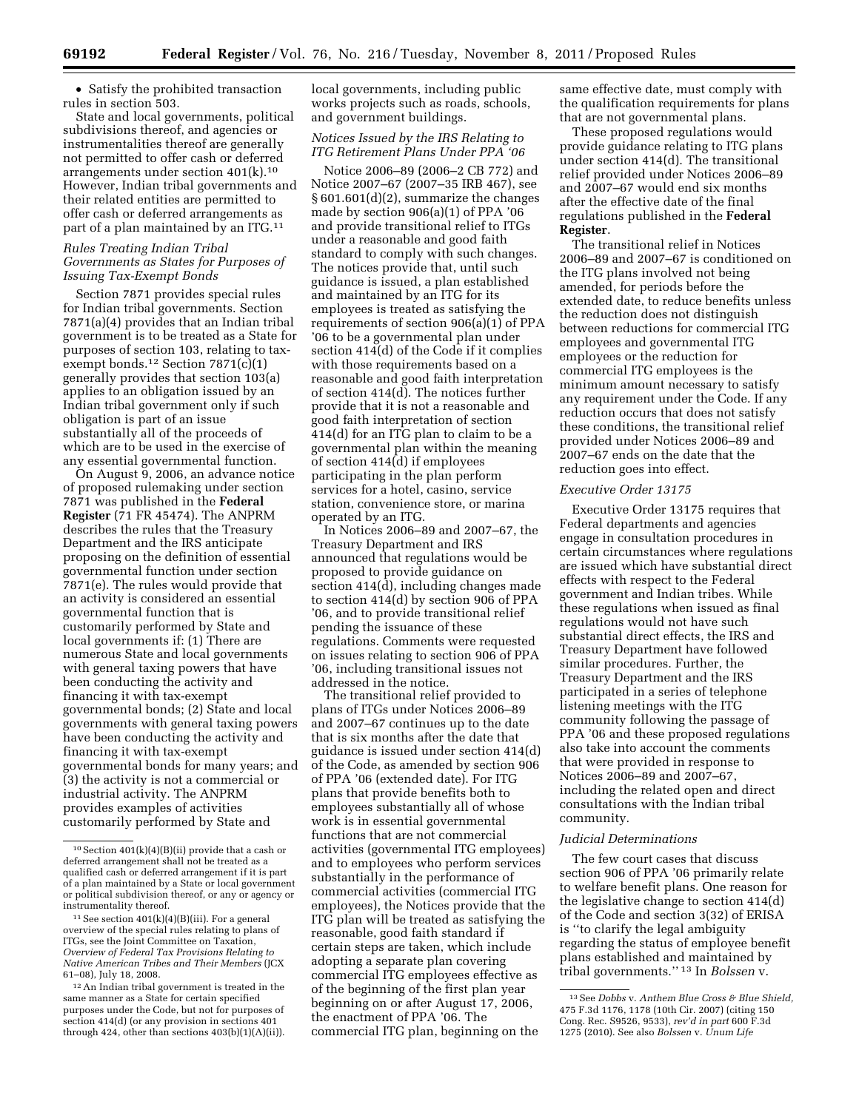• Satisfy the prohibited transaction rules in section 503.

State and local governments, political subdivisions thereof, and agencies or instrumentalities thereof are generally not permitted to offer cash or deferred arrangements under section 401(k).10 However, Indian tribal governments and their related entities are permitted to offer cash or deferred arrangements as part of a plan maintained by an ITG.11

# *Rules Treating Indian Tribal Governments as States for Purposes of Issuing Tax-Exempt Bonds*

Section 7871 provides special rules for Indian tribal governments. Section 7871(a)(4) provides that an Indian tribal government is to be treated as a State for purposes of section 103, relating to taxexempt bonds.<sup>12</sup> Section  $7871(c)(1)$ generally provides that section 103(a) applies to an obligation issued by an Indian tribal government only if such obligation is part of an issue substantially all of the proceeds of which are to be used in the exercise of any essential governmental function.

On August 9, 2006, an advance notice of proposed rulemaking under section 7871 was published in the **Federal Register** (71 FR 45474). The ANPRM describes the rules that the Treasury Department and the IRS anticipate proposing on the definition of essential governmental function under section 7871(e). The rules would provide that an activity is considered an essential governmental function that is customarily performed by State and local governments if: (1) There are numerous State and local governments with general taxing powers that have been conducting the activity and financing it with tax-exempt governmental bonds; (2) State and local governments with general taxing powers have been conducting the activity and financing it with tax-exempt governmental bonds for many years; and (3) the activity is not a commercial or industrial activity. The ANPRM provides examples of activities customarily performed by State and

local governments, including public works projects such as roads, schools, and government buildings.

# *Notices Issued by the IRS Relating to ITG Retirement Plans Under PPA '06*

Notice 2006–89 (2006–2 CB 772) and Notice 2007–67 (2007–35 IRB 467), see § 601.601(d)(2), summarize the changes made by section 906(a)(1) of PPA '06 and provide transitional relief to ITGs under a reasonable and good faith standard to comply with such changes. The notices provide that, until such guidance is issued, a plan established and maintained by an ITG for its employees is treated as satisfying the requirements of section 906(a)(1) of PPA '06 to be a governmental plan under section 414(d) of the Code if it complies with those requirements based on a reasonable and good faith interpretation of section 414(d). The notices further provide that it is not a reasonable and good faith interpretation of section 414(d) for an ITG plan to claim to be a governmental plan within the meaning of section 414(d) if employees participating in the plan perform services for a hotel, casino, service station, convenience store, or marina operated by an ITG.

In Notices 2006–89 and 2007–67, the Treasury Department and IRS announced that regulations would be proposed to provide guidance on section 414(d), including changes made to section 414(d) by section 906 of PPA '06, and to provide transitional relief pending the issuance of these regulations. Comments were requested on issues relating to section 906 of PPA '06, including transitional issues not addressed in the notice.

The transitional relief provided to plans of ITGs under Notices 2006–89 and 2007–67 continues up to the date that is six months after the date that guidance is issued under section 414(d) of the Code, as amended by section 906 of PPA '06 (extended date). For ITG plans that provide benefits both to employees substantially all of whose work is in essential governmental functions that are not commercial activities (governmental ITG employees) and to employees who perform services substantially in the performance of commercial activities (commercial ITG employees), the Notices provide that the ITG plan will be treated as satisfying the reasonable, good faith standard if certain steps are taken, which include adopting a separate plan covering commercial ITG employees effective as of the beginning of the first plan year beginning on or after August 17, 2006, the enactment of PPA '06. The commercial ITG plan, beginning on the

same effective date, must comply with the qualification requirements for plans that are not governmental plans.

These proposed regulations would provide guidance relating to ITG plans under section 414(d). The transitional relief provided under Notices 2006–89 and 2007–67 would end six months after the effective date of the final regulations published in the **Federal Register**.

The transitional relief in Notices 2006–89 and 2007–67 is conditioned on the ITG plans involved not being amended, for periods before the extended date, to reduce benefits unless the reduction does not distinguish between reductions for commercial ITG employees and governmental ITG employees or the reduction for commercial ITG employees is the minimum amount necessary to satisfy any requirement under the Code. If any reduction occurs that does not satisfy these conditions, the transitional relief provided under Notices 2006–89 and 2007–67 ends on the date that the reduction goes into effect.

# *Executive Order 13175*

Executive Order 13175 requires that Federal departments and agencies engage in consultation procedures in certain circumstances where regulations are issued which have substantial direct effects with respect to the Federal government and Indian tribes. While these regulations when issued as final regulations would not have such substantial direct effects, the IRS and Treasury Department have followed similar procedures. Further, the Treasury Department and the IRS participated in a series of telephone listening meetings with the ITG community following the passage of PPA '06 and these proposed regulations also take into account the comments that were provided in response to Notices 2006–89 and 2007–67, including the related open and direct consultations with the Indian tribal community.

# *Judicial Determinations*

The few court cases that discuss section 906 of PPA '06 primarily relate to welfare benefit plans. One reason for the legislative change to section 414(d) of the Code and section 3(32) of ERISA is ''to clarify the legal ambiguity regarding the status of employee benefit plans established and maintained by tribal governments.'' 13 In *Bolssen* v.

<sup>10</sup>Section 401(k)(4)(B)(ii) provide that a cash or deferred arrangement shall not be treated as a qualified cash or deferred arrangement if it is part of a plan maintained by a State or local government or political subdivision thereof, or any or agency or instrumentality thereof.

 $11$  See section  $401(k)(4)(B)(iii)$ . For a general overview of the special rules relating to plans of ITGs, see the Joint Committee on Taxation, *Overview of Federal Tax Provisions Relating to Native American Tribes and Their Members* (JCX 61–08), July 18, 2008.

<sup>12</sup>An Indian tribal government is treated in the same manner as a State for certain specified purposes under the Code, but not for purposes of section 414(d) (or any provision in sections 401 through 424, other than sections 403(b)(1)(A)(ii)).

<sup>13</sup>See *Dobbs* v. *Anthem Blue Cross & Blue Shield,*  475 F.3d 1176, 1178 (10th Cir. 2007) (citing 150 Cong. Rec. S9526, 9533), *rev'd in part* 600 F.3d 1275 (2010). See also *Bolssen* v. *Unum Life*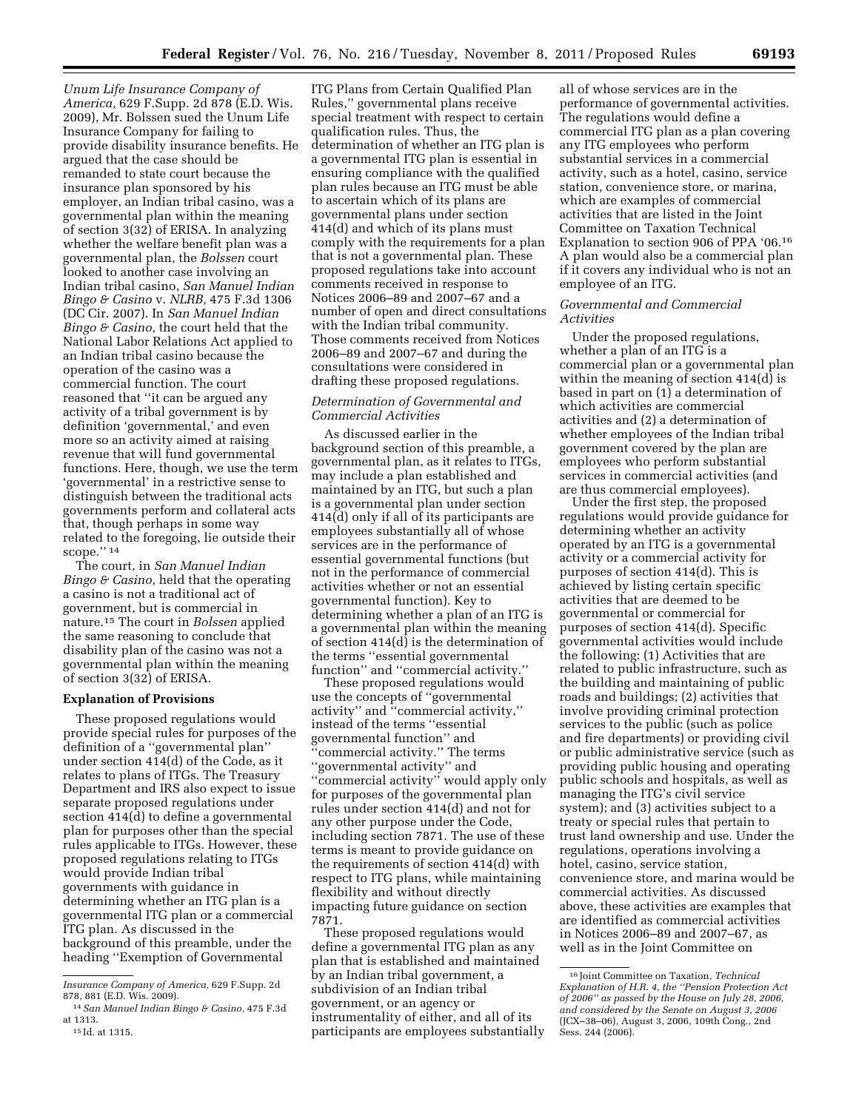*Unum Life Insurance Company of America,* 629 F.Supp. 2d 878 (E.D. Wis. 2009), Mr. Bolssen sued the Unum Life Insurance Company for failing to provide disability insurance benefits. He argued that the case should be remanded to state court because the insurance plan sponsored by his employer, an Indian tribal casino, was a governmental plan within the meaning of section 3(32) of ERISA. In analyzing whether the welfare benefit plan was a governmental plan, the *Bolssen* court looked to another case involving an Indian tribal casino, *San Manuel Indian Bingo & Casino* v. *NLRB,* 475 F.3d 1306 (DC Cir. 2007). In *San Manuel Indian Bingo & Casino,* the court held that the National Labor Relations Act applied to an Indian tribal casino because the operation of the casino was a commercial function. The court reasoned that ''it can be argued any activity of a tribal government is by definition 'governmental,' and even more so an activity aimed at raising revenue that will fund governmental functions. Here, though, we use the term 'governmental' in a restrictive sense to distinguish between the traditional acts governments perform and collateral acts that, though perhaps in some way related to the foregoing, lie outside their scope."<sup>14</sup>

The court, in *San Manuel Indian Bingo & Casino,* held that the operating a casino is not a traditional act of government, but is commercial in nature.15 The court in *Bolssen* applied the same reasoning to conclude that disability plan of the casino was not a governmental plan within the meaning of section 3(32) of ERISA.

# **Explanation of Provisions**

These proposed regulations would provide special rules for purposes of the definition of a ''governmental plan'' under section 414(d) of the Code, as it relates to plans of ITGs. The Treasury Department and IRS also expect to issue separate proposed regulations under section 414(d) to define a governmental plan for purposes other than the special rules applicable to ITGs. However, these proposed regulations relating to ITGs would provide Indian tribal governments with guidance in determining whether an ITG plan is a governmental ITG plan or a commercial ITG plan. As discussed in the background of this preamble, under the heading ''Exemption of Governmental

ITG Plans from Certain Qualified Plan Rules,'' governmental plans receive special treatment with respect to certain qualification rules. Thus, the determination of whether an ITG plan is a governmental ITG plan is essential in ensuring compliance with the qualified plan rules because an ITG must be able to ascertain which of its plans are governmental plans under section 414(d) and which of its plans must comply with the requirements for a plan that is not a governmental plan. These proposed regulations take into account comments received in response to Notices 2006–89 and 2007–67 and a number of open and direct consultations with the Indian tribal community. Those comments received from Notices 2006–89 and 2007–67 and during the consultations were considered in drafting these proposed regulations.

# *Determination of Governmental and Commercial Activities*

As discussed earlier in the background section of this preamble, a governmental plan, as it relates to ITGs, may include a plan established and maintained by an ITG, but such a plan is a governmental plan under section 414(d) only if all of its participants are employees substantially all of whose services are in the performance of essential governmental functions (but not in the performance of commercial activities whether or not an essential governmental function). Key to determining whether a plan of an ITG is a governmental plan within the meaning of section 414(d) is the determination of the terms ''essential governmental function'' and ''commercial activity.''

These proposed regulations would use the concepts of ''governmental activity'' and ''commercial activity,'' instead of the terms ''essential governmental function'' and 'commercial activity." The terms ''governmental activity'' and ''commercial activity'' would apply only for purposes of the governmental plan rules under section 414(d) and not for any other purpose under the Code, including section 7871. The use of these terms is meant to provide guidance on the requirements of section 414(d) with respect to ITG plans, while maintaining flexibility and without directly impacting future guidance on section 7871.

These proposed regulations would define a governmental ITG plan as any plan that is established and maintained by an Indian tribal government, a subdivision of an Indian tribal government, or an agency or instrumentality of either, and all of its participants are employees substantially

all of whose services are in the performance of governmental activities. The regulations would define a commercial ITG plan as a plan covering any ITG employees who perform substantial services in a commercial activity, such as a hotel, casino, service station, convenience store, or marina, which are examples of commercial activities that are listed in the Joint Committee on Taxation Technical Explanation to section 906 of PPA '06.16 A plan would also be a commercial plan if it covers any individual who is not an employee of an ITG.

# *Governmental and Commercial Activities*

Under the proposed regulations, whether a plan of an ITG is a commercial plan or a governmental plan within the meaning of section 414(d) is based in part on  $(1)$  a determination of which activities are commercial activities and (2) a determination of whether employees of the Indian tribal government covered by the plan are employees who perform substantial services in commercial activities (and are thus commercial employees).

Under the first step, the proposed regulations would provide guidance for determining whether an activity operated by an ITG is a governmental activity or a commercial activity for purposes of section 414(d). This is achieved by listing certain specific activities that are deemed to be governmental or commercial for purposes of section 414(d). Specific governmental activities would include the following: (1) Activities that are related to public infrastructure, such as the building and maintaining of public roads and buildings; (2) activities that involve providing criminal protection services to the public (such as police and fire departments) or providing civil or public administrative service (such as providing public housing and operating public schools and hospitals, as well as managing the ITG's civil service system); and (3) activities subject to a treaty or special rules that pertain to trust land ownership and use. Under the regulations, operations involving a hotel, casino, service station, convenience store, and marina would be commercial activities. As discussed above, these activities are examples that are identified as commercial activities in Notices 2006–89 and 2007–67, as well as in the Joint Committee on

*Insurance Company of America,* 629 F.Supp. 2d 878, 881 (E.D. Wis. 2009).

<sup>14</sup>*San Manuel Indian Bingo & Casino,* 475 F.3d at 1313.

<sup>15</sup> Id. at 1315.

<sup>16</sup> Joint Committee on Taxation, *Technical Explanation of H.R. 4, the ''Pension Protection Act of 2006'' as passed by the House on July 28, 2006, and considered by the Senate on August 3, 2006*  (JCX–38–06), August 3, 2006, 109th Cong., 2nd Sess. 244 (2006).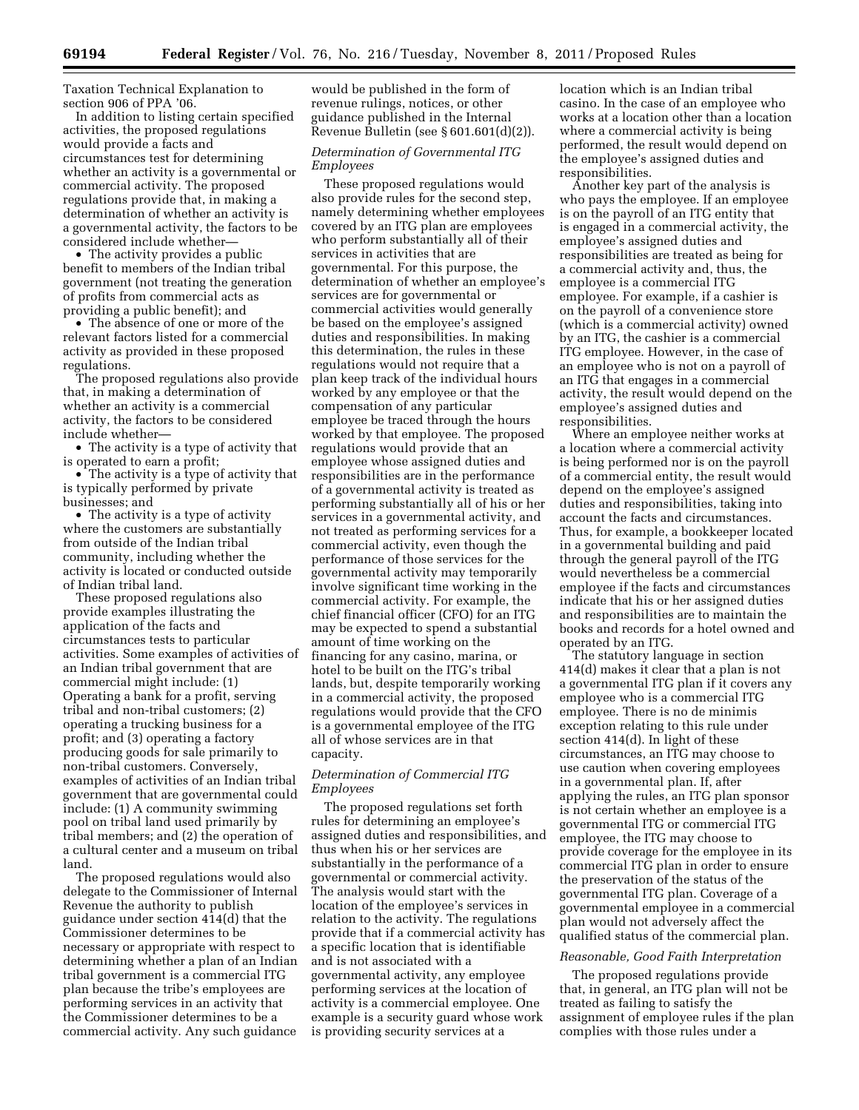Taxation Technical Explanation to section 906 of PPA '06.

In addition to listing certain specified activities, the proposed regulations would provide a facts and circumstances test for determining whether an activity is a governmental or commercial activity. The proposed regulations provide that, in making a determination of whether an activity is a governmental activity, the factors to be considered include whether—

• The activity provides a public benefit to members of the Indian tribal government (not treating the generation of profits from commercial acts as providing a public benefit); and

• The absence of one or more of the relevant factors listed for a commercial activity as provided in these proposed regulations.

The proposed regulations also provide that, in making a determination of whether an activity is a commercial activity, the factors to be considered include whether—

• The activity is a type of activity that is operated to earn a profit;

• The activity is a type of activity that is typically performed by private businesses; and

• The activity is a type of activity where the customers are substantially from outside of the Indian tribal community, including whether the activity is located or conducted outside of Indian tribal land.

These proposed regulations also provide examples illustrating the application of the facts and circumstances tests to particular activities. Some examples of activities of an Indian tribal government that are commercial might include: (1) Operating a bank for a profit, serving tribal and non-tribal customers; (2) operating a trucking business for a profit; and (3) operating a factory producing goods for sale primarily to non-tribal customers. Conversely, examples of activities of an Indian tribal government that are governmental could include: (1) A community swimming pool on tribal land used primarily by tribal members; and (2) the operation of a cultural center and a museum on tribal land.

The proposed regulations would also delegate to the Commissioner of Internal Revenue the authority to publish guidance under section 414(d) that the Commissioner determines to be necessary or appropriate with respect to determining whether a plan of an Indian tribal government is a commercial ITG plan because the tribe's employees are performing services in an activity that the Commissioner determines to be a commercial activity. Any such guidance

would be published in the form of revenue rulings, notices, or other guidance published in the Internal Revenue Bulletin (see § 601.601(d)(2)).

# *Determination of Governmental ITG Employees*

These proposed regulations would also provide rules for the second step, namely determining whether employees covered by an ITG plan are employees who perform substantially all of their services in activities that are governmental. For this purpose, the determination of whether an employee's services are for governmental or commercial activities would generally be based on the employee's assigned duties and responsibilities. In making this determination, the rules in these regulations would not require that a plan keep track of the individual hours worked by any employee or that the compensation of any particular employee be traced through the hours worked by that employee. The proposed regulations would provide that an employee whose assigned duties and responsibilities are in the performance of a governmental activity is treated as performing substantially all of his or her services in a governmental activity, and not treated as performing services for a commercial activity, even though the performance of those services for the governmental activity may temporarily involve significant time working in the commercial activity. For example, the chief financial officer (CFO) for an ITG may be expected to spend a substantial amount of time working on the financing for any casino, marina, or hotel to be built on the ITG's tribal lands, but, despite temporarily working in a commercial activity, the proposed regulations would provide that the CFO is a governmental employee of the ITG all of whose services are in that capacity.

# *Determination of Commercial ITG Employees*

The proposed regulations set forth rules for determining an employee's assigned duties and responsibilities, and thus when his or her services are substantially in the performance of a governmental or commercial activity. The analysis would start with the location of the employee's services in relation to the activity. The regulations provide that if a commercial activity has a specific location that is identifiable and is not associated with a governmental activity, any employee performing services at the location of activity is a commercial employee. One example is a security guard whose work is providing security services at a

location which is an Indian tribal casino. In the case of an employee who works at a location other than a location where a commercial activity is being performed, the result would depend on the employee's assigned duties and responsibilities.

Another key part of the analysis is who pays the employee. If an employee is on the payroll of an ITG entity that is engaged in a commercial activity, the employee's assigned duties and responsibilities are treated as being for a commercial activity and, thus, the employee is a commercial ITG employee. For example, if a cashier is on the payroll of a convenience store (which is a commercial activity) owned by an ITG, the cashier is a commercial ITG employee. However, in the case of an employee who is not on a payroll of an ITG that engages in a commercial activity, the result would depend on the employee's assigned duties and responsibilities.

Where an employee neither works at a location where a commercial activity is being performed nor is on the payroll of a commercial entity, the result would depend on the employee's assigned duties and responsibilities, taking into account the facts and circumstances. Thus, for example, a bookkeeper located in a governmental building and paid through the general payroll of the ITG would nevertheless be a commercial employee if the facts and circumstances indicate that his or her assigned duties and responsibilities are to maintain the books and records for a hotel owned and operated by an ITG.

The statutory language in section 414(d) makes it clear that a plan is not a governmental ITG plan if it covers any employee who is a commercial ITG employee. There is no de minimis exception relating to this rule under section 414(d). In light of these circumstances, an ITG may choose to use caution when covering employees in a governmental plan. If, after applying the rules, an ITG plan sponsor is not certain whether an employee is a governmental ITG or commercial ITG employee, the ITG may choose to provide coverage for the employee in its commercial ITG plan in order to ensure the preservation of the status of the governmental ITG plan. Coverage of a governmental employee in a commercial plan would not adversely affect the qualified status of the commercial plan.

# *Reasonable, Good Faith Interpretation*

The proposed regulations provide that, in general, an ITG plan will not be treated as failing to satisfy the assignment of employee rules if the plan complies with those rules under a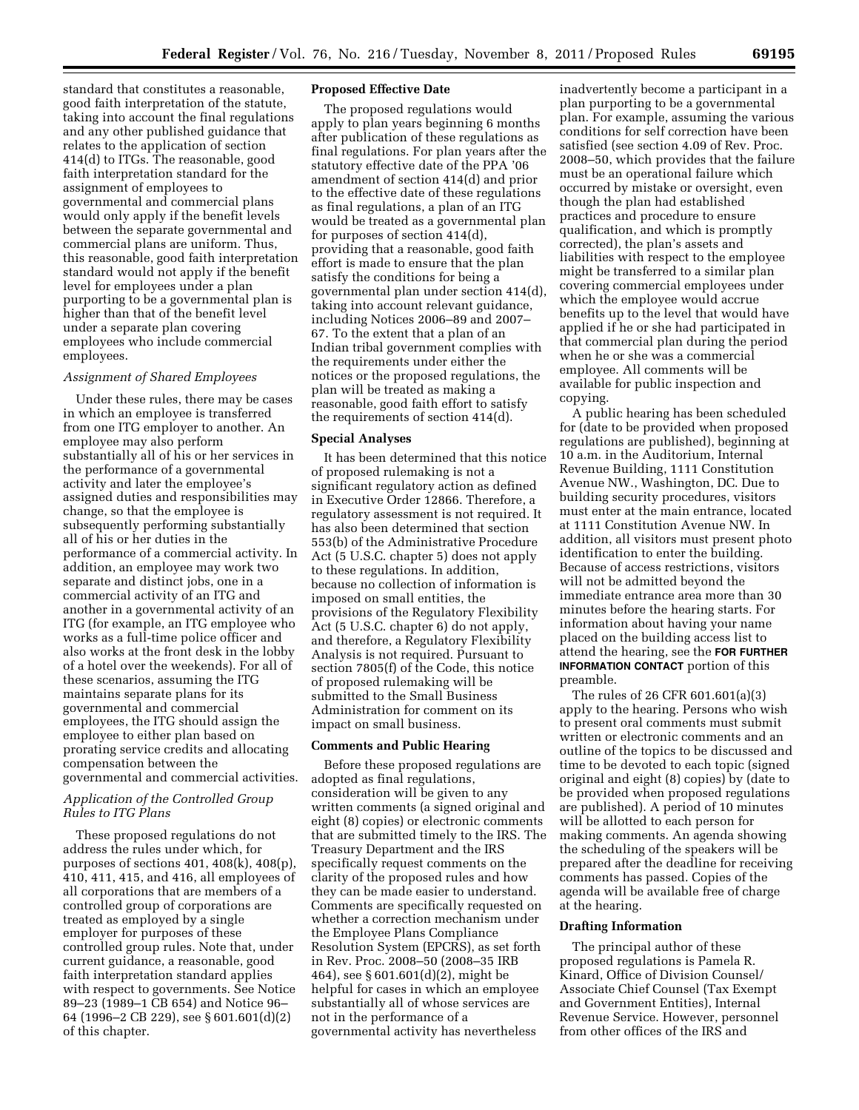standard that constitutes a reasonable, good faith interpretation of the statute, taking into account the final regulations and any other published guidance that relates to the application of section 414(d) to ITGs. The reasonable, good faith interpretation standard for the assignment of employees to governmental and commercial plans would only apply if the benefit levels between the separate governmental and commercial plans are uniform. Thus, this reasonable, good faith interpretation standard would not apply if the benefit level for employees under a plan purporting to be a governmental plan is higher than that of the benefit level under a separate plan covering employees who include commercial employees.

#### *Assignment of Shared Employees*

Under these rules, there may be cases in which an employee is transferred from one ITG employer to another. An employee may also perform substantially all of his or her services in the performance of a governmental activity and later the employee's assigned duties and responsibilities may change, so that the employee is subsequently performing substantially all of his or her duties in the performance of a commercial activity. In addition, an employee may work two separate and distinct jobs, one in a commercial activity of an ITG and another in a governmental activity of an ITG (for example, an ITG employee who works as a full-time police officer and also works at the front desk in the lobby of a hotel over the weekends). For all of these scenarios, assuming the ITG maintains separate plans for its governmental and commercial employees, the ITG should assign the employee to either plan based on prorating service credits and allocating compensation between the governmental and commercial activities.

# *Application of the Controlled Group Rules to ITG Plans*

These proposed regulations do not address the rules under which, for purposes of sections 401, 408(k), 408(p), 410, 411, 415, and 416, all employees of all corporations that are members of a controlled group of corporations are treated as employed by a single employer for purposes of these controlled group rules. Note that, under current guidance, a reasonable, good faith interpretation standard applies with respect to governments. See Notice 89–23 (1989–1 CB 654) and Notice 96– 64 (1996–2 CB 229), see § 601.601(d)(2) of this chapter.

# **Proposed Effective Date**

The proposed regulations would apply to plan years beginning 6 months after publication of these regulations as final regulations. For plan years after the statutory effective date of the PPA '06 amendment of section 414(d) and prior to the effective date of these regulations as final regulations, a plan of an ITG would be treated as a governmental plan for purposes of section 414(d), providing that a reasonable, good faith effort is made to ensure that the plan satisfy the conditions for being a governmental plan under section 414(d), taking into account relevant guidance, including Notices 2006–89 and 2007– 67. To the extent that a plan of an Indian tribal government complies with the requirements under either the notices or the proposed regulations, the plan will be treated as making a reasonable, good faith effort to satisfy the requirements of section 414(d).

#### **Special Analyses**

It has been determined that this notice of proposed rulemaking is not a significant regulatory action as defined in Executive Order 12866. Therefore, a regulatory assessment is not required. It has also been determined that section 553(b) of the Administrative Procedure Act (5 U.S.C. chapter 5) does not apply to these regulations. In addition, because no collection of information is imposed on small entities, the provisions of the Regulatory Flexibility Act (5 U.S.C. chapter 6) do not apply, and therefore, a Regulatory Flexibility Analysis is not required. Pursuant to section 7805(f) of the Code, this notice of proposed rulemaking will be submitted to the Small Business Administration for comment on its impact on small business.

#### **Comments and Public Hearing**

Before these proposed regulations are adopted as final regulations, consideration will be given to any written comments (a signed original and eight (8) copies) or electronic comments that are submitted timely to the IRS. The Treasury Department and the IRS specifically request comments on the clarity of the proposed rules and how they can be made easier to understand. Comments are specifically requested on whether a correction mechanism under the Employee Plans Compliance Resolution System (EPCRS), as set forth in Rev. Proc. 2008–50 (2008–35 IRB 464), see § 601.601(d)(2), might be helpful for cases in which an employee substantially all of whose services are not in the performance of a governmental activity has nevertheless

inadvertently become a participant in a plan purporting to be a governmental plan. For example, assuming the various conditions for self correction have been satisfied (see section 4.09 of Rev. Proc. 2008–50, which provides that the failure must be an operational failure which occurred by mistake or oversight, even though the plan had established practices and procedure to ensure qualification, and which is promptly corrected), the plan's assets and liabilities with respect to the employee might be transferred to a similar plan covering commercial employees under which the employee would accrue benefits up to the level that would have applied if he or she had participated in that commercial plan during the period when he or she was a commercial employee. All comments will be available for public inspection and copying.

A public hearing has been scheduled for (date to be provided when proposed regulations are published), beginning at 10 a.m. in the Auditorium, Internal Revenue Building, 1111 Constitution Avenue NW., Washington, DC. Due to building security procedures, visitors must enter at the main entrance, located at 1111 Constitution Avenue NW. In addition, all visitors must present photo identification to enter the building. Because of access restrictions, visitors will not be admitted beyond the immediate entrance area more than 30 minutes before the hearing starts. For information about having your name placed on the building access list to attend the hearing, see the **FOR FURTHER INFORMATION CONTACT** portion of this preamble.

The rules of 26 CFR 601.601(a)(3) apply to the hearing. Persons who wish to present oral comments must submit written or electronic comments and an outline of the topics to be discussed and time to be devoted to each topic (signed original and eight (8) copies) by (date to be provided when proposed regulations are published). A period of 10 minutes will be allotted to each person for making comments. An agenda showing the scheduling of the speakers will be prepared after the deadline for receiving comments has passed. Copies of the agenda will be available free of charge at the hearing.

#### **Drafting Information**

The principal author of these proposed regulations is Pamela R. Kinard, Office of Division Counsel/ Associate Chief Counsel (Tax Exempt and Government Entities), Internal Revenue Service. However, personnel from other offices of the IRS and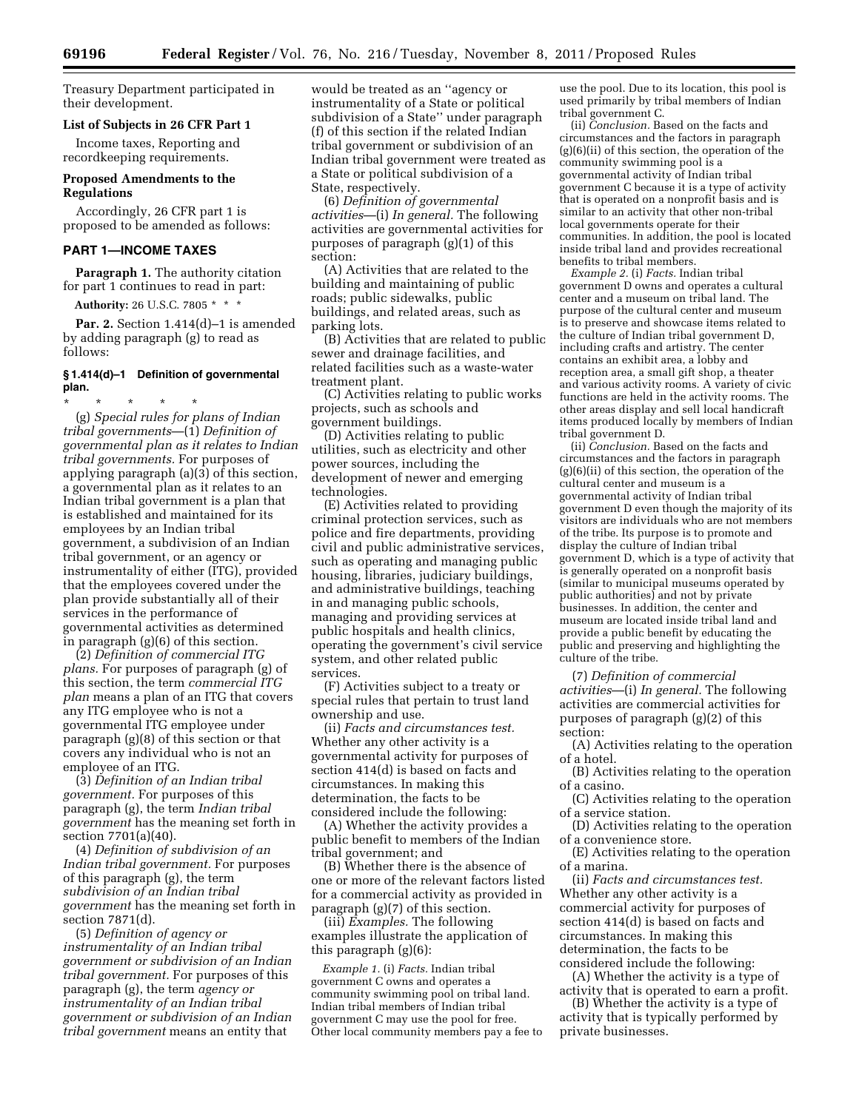Treasury Department participated in their development.

#### **List of Subjects in 26 CFR Part 1**

Income taxes, Reporting and recordkeeping requirements.

# **Proposed Amendments to the Regulations**

Accordingly, 26 CFR part 1 is proposed to be amended as follows:

#### **PART 1—INCOME TAXES**

**Paragraph 1.** The authority citation for part 1 continues to read in part:

**Authority:** 26 U.S.C. 7805 \* \* \*

**Par. 2.** Section 1.414(d)–1 is amended by adding paragraph (g) to read as follows:

#### **§ 1.414(d)–1 Definition of governmental plan.**

\* \* \* \* \* (g) *Special rules for plans of Indian tribal governments*—(1) *Definition of governmental plan as it relates to Indian tribal governments.* For purposes of applying paragraph (a)(3) of this section, a governmental plan as it relates to an Indian tribal government is a plan that is established and maintained for its employees by an Indian tribal government, a subdivision of an Indian tribal government, or an agency or instrumentality of either (ITG), provided that the employees covered under the plan provide substantially all of their services in the performance of governmental activities as determined in paragraph (g)(6) of this section.

(2) *Definition of commercial ITG plans.* For purposes of paragraph (g) of this section, the term *commercial ITG plan* means a plan of an ITG that covers any ITG employee who is not a governmental ITG employee under paragraph (g)(8) of this section or that covers any individual who is not an employee of an ITG.

(3) *Definition of an Indian tribal government.* For purposes of this paragraph (g), the term *Indian tribal government* has the meaning set forth in section 7701(a)(40).

(4) *Definition of subdivision of an Indian tribal government.* For purposes of this paragraph (g), the term *subdivision of an Indian tribal government* has the meaning set forth in section 7871(d).

(5) *Definition of agency or instrumentality of an Indian tribal government or subdivision of an Indian tribal government.* For purposes of this paragraph (g), the term *agency or instrumentality of an Indian tribal government or subdivision of an Indian tribal government* means an entity that

would be treated as an ''agency or instrumentality of a State or political subdivision of a State'' under paragraph (f) of this section if the related Indian tribal government or subdivision of an Indian tribal government were treated as a State or political subdivision of a State, respectively.

(6) *Definition of governmental activities*—(i) *In general.* The following activities are governmental activities for purposes of paragraph (g)(1) of this section:

(A) Activities that are related to the building and maintaining of public roads; public sidewalks, public buildings, and related areas, such as parking lots.

(B) Activities that are related to public sewer and drainage facilities, and related facilities such as a waste-water treatment plant.

(C) Activities relating to public works projects, such as schools and government buildings.

(D) Activities relating to public utilities, such as electricity and other power sources, including the development of newer and emerging technologies.

(E) Activities related to providing criminal protection services, such as police and fire departments, providing civil and public administrative services, such as operating and managing public housing, libraries, judiciary buildings, and administrative buildings, teaching in and managing public schools, managing and providing services at public hospitals and health clinics, operating the government's civil service system, and other related public services.

(F) Activities subject to a treaty or special rules that pertain to trust land ownership and use.

(ii) *Facts and circumstances test.*  Whether any other activity is a governmental activity for purposes of section 414(d) is based on facts and circumstances. In making this determination, the facts to be considered include the following:

(A) Whether the activity provides a public benefit to members of the Indian tribal government; and

(B) Whether there is the absence of one or more of the relevant factors listed for a commercial activity as provided in paragraph (g)(7) of this section.

(iii) *Examples.* The following examples illustrate the application of this paragraph (g)(6):

*Example 1.* (i) *Facts.* Indian tribal government C owns and operates a community swimming pool on tribal land. Indian tribal members of Indian tribal government C may use the pool for free. Other local community members pay a fee to use the pool. Due to its location, this pool is used primarily by tribal members of Indian tribal government C.

(ii) *Conclusion.* Based on the facts and circumstances and the factors in paragraph (g)(6)(ii) of this section, the operation of the community swimming pool is a governmental activity of Indian tribal government C because it is a type of activity that is operated on a nonprofit basis and is similar to an activity that other non-tribal local governments operate for their communities. In addition, the pool is located inside tribal land and provides recreational benefits to tribal members.

*Example 2.* (i) *Facts.* Indian tribal government D owns and operates a cultural center and a museum on tribal land. The purpose of the cultural center and museum is to preserve and showcase items related to the culture of Indian tribal government D, including crafts and artistry. The center contains an exhibit area, a lobby and reception area, a small gift shop, a theater and various activity rooms. A variety of civic functions are held in the activity rooms. The other areas display and sell local handicraft items produced locally by members of Indian tribal government D.

(ii) *Conclusion.* Based on the facts and circumstances and the factors in paragraph (g)(6)(ii) of this section, the operation of the cultural center and museum is a governmental activity of Indian tribal government D even though the majority of its visitors are individuals who are not members of the tribe. Its purpose is to promote and display the culture of Indian tribal government D, which is a type of activity that is generally operated on a nonprofit basis (similar to municipal museums operated by public authorities) and not by private businesses. In addition, the center and museum are located inside tribal land and provide a public benefit by educating the public and preserving and highlighting the culture of the tribe.

(7) *Definition of commercial activities*—(i) *In general.* The following activities are commercial activities for purposes of paragraph (g)(2) of this section:

(A) Activities relating to the operation of a hotel.

(B) Activities relating to the operation of a casino.

(C) Activities relating to the operation of a service station.

(D) Activities relating to the operation of a convenience store.

(E) Activities relating to the operation of a marina.

(ii) *Facts and circumstances test.*  Whether any other activity is a commercial activity for purposes of section 414(d) is based on facts and circumstances. In making this determination, the facts to be considered include the following:

(A) Whether the activity is a type of activity that is operated to earn a profit.

(B) Whether the activity is a type of activity that is typically performed by private businesses.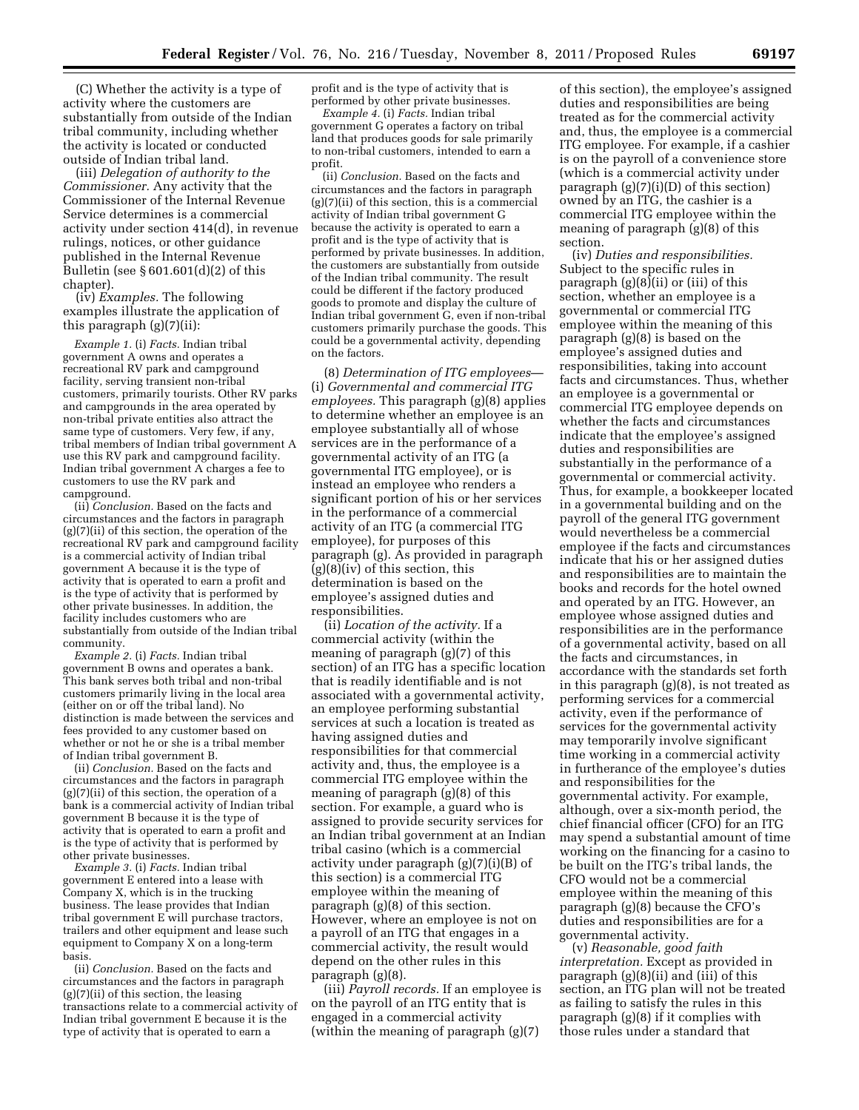(C) Whether the activity is a type of activity where the customers are substantially from outside of the Indian tribal community, including whether the activity is located or conducted outside of Indian tribal land.

(iii) *Delegation of authority to the Commissioner.* Any activity that the Commissioner of the Internal Revenue Service determines is a commercial activity under section 414(d), in revenue rulings, notices, or other guidance published in the Internal Revenue Bulletin (see § 601.601(d)(2) of this chapter).

(iv) *Examples.* The following examples illustrate the application of this paragraph (g)(7)(ii):

*Example 1.* (i) *Facts.* Indian tribal government A owns and operates a recreational RV park and campground facility, serving transient non-tribal customers, primarily tourists. Other RV parks and campgrounds in the area operated by non-tribal private entities also attract the same type of customers. Very few, if any, tribal members of Indian tribal government A use this RV park and campground facility. Indian tribal government A charges a fee to customers to use the RV park and campground.

(ii) *Conclusion.* Based on the facts and circumstances and the factors in paragraph (g)(7)(ii) of this section, the operation of the recreational RV park and campground facility is a commercial activity of Indian tribal government A because it is the type of activity that is operated to earn a profit and is the type of activity that is performed by other private businesses. In addition, the facility includes customers who are substantially from outside of the Indian tribal community.

*Example 2.* (i) *Facts.* Indian tribal government B owns and operates a bank. This bank serves both tribal and non-tribal customers primarily living in the local area (either on or off the tribal land). No distinction is made between the services and fees provided to any customer based on whether or not he or she is a tribal member of Indian tribal government B.

(ii) *Conclusion.* Based on the facts and circumstances and the factors in paragraph (g)(7)(ii) of this section, the operation of a bank is a commercial activity of Indian tribal government B because it is the type of activity that is operated to earn a profit and is the type of activity that is performed by other private businesses.

*Example 3.* (i) *Facts.* Indian tribal government E entered into a lease with Company X, which is in the trucking business. The lease provides that Indian tribal government  $\tilde{E}$  will purchase tractors, trailers and other equipment and lease such equipment to Company X on a long-term basis.

(ii) *Conclusion.* Based on the facts and circumstances and the factors in paragraph (g)(7)(ii) of this section, the leasing transactions relate to a commercial activity of Indian tribal government E because it is the type of activity that is operated to earn a

profit and is the type of activity that is performed by other private businesses.

*Example 4.* (i) *Facts.* Indian tribal government G operates a factory on tribal land that produces goods for sale primarily to non-tribal customers, intended to earn a profit.

(ii) *Conclusion.* Based on the facts and circumstances and the factors in paragraph (g)(7)(ii) of this section, this is a commercial activity of Indian tribal government G because the activity is operated to earn a profit and is the type of activity that is performed by private businesses. In addition, the customers are substantially from outside of the Indian tribal community. The result could be different if the factory produced goods to promote and display the culture of Indian tribal government G, even if non-tribal customers primarily purchase the goods. This could be a governmental activity, depending on the factors.

(8) *Determination of ITG employees*— (i) *Governmental and commercial ITG employees.* This paragraph (g)(8) applies to determine whether an employee is an employee substantially all of whose services are in the performance of a governmental activity of an ITG (a governmental ITG employee), or is instead an employee who renders a significant portion of his or her services in the performance of a commercial activity of an ITG (a commercial ITG employee), for purposes of this paragraph (g). As provided in paragraph  $(g)(8)(iv)$  of this section, this determination is based on the employee's assigned duties and responsibilities.

(ii) *Location of the activity.* If a commercial activity (within the meaning of paragraph (g)(7) of this section) of an ITG has a specific location that is readily identifiable and is not associated with a governmental activity, an employee performing substantial services at such a location is treated as having assigned duties and responsibilities for that commercial activity and, thus, the employee is a commercial ITG employee within the meaning of paragraph (g)(8) of this section. For example, a guard who is assigned to provide security services for an Indian tribal government at an Indian tribal casino (which is a commercial activity under paragraph (g)(7)(i)(B) of this section) is a commercial ITG employee within the meaning of paragraph (g)(8) of this section. However, where an employee is not on a payroll of an ITG that engages in a commercial activity, the result would depend on the other rules in this paragraph (g)(8).

(iii) *Payroll records.* If an employee is on the payroll of an ITG entity that is engaged in a commercial activity (within the meaning of paragraph (g)(7)

of this section), the employee's assigned duties and responsibilities are being treated as for the commercial activity and, thus, the employee is a commercial ITG employee. For example, if a cashier is on the payroll of a convenience store (which is a commercial activity under paragraph (g)(7)(i)(D) of this section) owned by an ITG, the cashier is a commercial ITG employee within the meaning of paragraph (g)(8) of this section.

(iv) *Duties and responsibilities.*  Subject to the specific rules in paragraph (g)(8)(ii) or (iii) of this section, whether an employee is a governmental or commercial ITG employee within the meaning of this paragraph (g)(8) is based on the employee's assigned duties and responsibilities, taking into account facts and circumstances. Thus, whether an employee is a governmental or commercial ITG employee depends on whether the facts and circumstances indicate that the employee's assigned duties and responsibilities are substantially in the performance of a governmental or commercial activity. Thus, for example, a bookkeeper located in a governmental building and on the payroll of the general ITG government would nevertheless be a commercial employee if the facts and circumstances indicate that his or her assigned duties and responsibilities are to maintain the books and records for the hotel owned and operated by an ITG. However, an employee whose assigned duties and responsibilities are in the performance of a governmental activity, based on all the facts and circumstances, in accordance with the standards set forth in this paragraph (g)(8), is not treated as performing services for a commercial activity, even if the performance of services for the governmental activity may temporarily involve significant time working in a commercial activity in furtherance of the employee's duties and responsibilities for the governmental activity. For example, although, over a six-month period, the chief financial officer (CFO) for an ITG may spend a substantial amount of time working on the financing for a casino to be built on the ITG's tribal lands, the CFO would not be a commercial employee within the meaning of this paragraph (g)(8) because the CFO's duties and responsibilities are for a governmental activity.

(v) *Reasonable, good faith interpretation.* Except as provided in paragraph (g)(8)(ii) and (iii) of this section, an ITG plan will not be treated as failing to satisfy the rules in this paragraph (g)(8) if it complies with those rules under a standard that